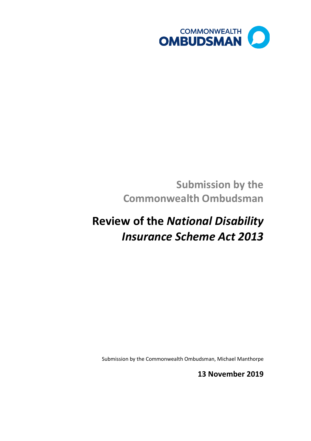

# **Submission by the Commonwealth Ombudsman**

# **Review of the** *National Disability Insurance Scheme Act 2013*

Submission by the Commonwealth Ombudsman, Michael Manthorpe

**13 November 2019**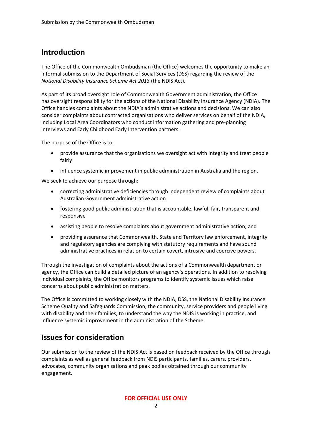# **Introduction**

The Office of the Commonwealth Ombudsman (the Office) welcomes the opportunity to make an informal submission to the Department of Social Services (DSS) regarding the review of the *National Disability Insurance Scheme Act 2013* (the NDIS Act).

As part of its broad oversight role of Commonwealth Government administration, the Office has oversight responsibility for the actions of the National Disability Insurance Agency (NDIA). The Office handles complaints about the NDIA's administrative actions and decisions. We can also consider complaints about contracted organisations who deliver services on behalf of the NDIA, including Local Area Coordinators who conduct information gathering and pre-planning interviews and Early Childhood Early Intervention partners.

The purpose of the Office is to:

- provide assurance that the organisations we oversight act with integrity and treat people fairly
- influence systemic improvement in public administration in Australia and the region.

We seek to achieve our purpose through:

- correcting administrative deficiencies through independent review of complaints about Australian Government administrative action
- fostering good public administration that is accountable, lawful, fair, transparent and responsive
- assisting people to resolve complaints about government administrative action; and
- providing assurance that Commonwealth, State and Territory law enforcement, integrity and regulatory agencies are complying with statutory requirements and have sound administrative practices in relation to certain covert, intrusive and coercive powers.

Through the investigation of complaints about the actions of a Commonwealth department or agency, the Office can build a detailed picture of an agency's operations. In addition to resolving individual complaints, the Office monitors programs to identify systemic issues which raise concerns about public administration matters.

The Office is committed to working closely with the NDIA, DSS, the National Disability Insurance Scheme Quality and Safeguards Commission, the community, service providers and people living with disability and their families, to understand the way the NDIS is working in practice, and influence systemic improvement in the administration of the Scheme.

# **Issues for consideration**

Our submission to the review of the NDIS Act is based on feedback received by the Office through complaints as well as general feedback from NDIS participants, families, carers, providers, advocates, community organisations and peak bodies obtained through our community engagement.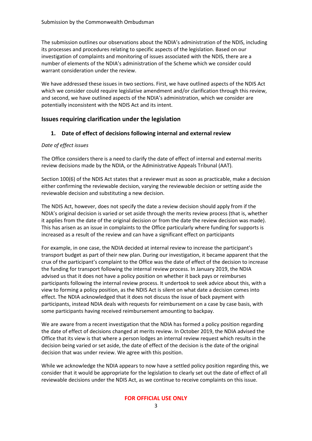The submission outlines our observations about the NDIA's administration of the NDIS, including its processes and procedures relating to specific aspects of the legislation. Based on our investigation of complaints and monitoring of issues associated with the NDIS, there are a number of elements of the NDIA's administration of the Scheme which we consider could warrant consideration under the review.

We have addressed these issues in two sections. First, we have outlined aspects of the NDIS Act which we consider could require legislative amendment and/or clarification through this review, and second, we have outlined aspects of the NDIA's administration, which we consider are potentially inconsistent with the NDIS Act and its intent.

#### **Issues requiring clarification under the legislation**

#### **1. Date of effect of decisions following internal and external review**

#### *Date of effect issues*

The Office considers there is a need to clarify the date of effect of internal and external merits review decisions made by the NDIA, or the Administrative Appeals Tribunal (AAT).

Section 100(6) of the NDIS Act states that a reviewer must as soon as practicable, make a decision either confirming the reviewable decision, varying the reviewable decision or setting aside the reviewable decision and substituting a new decision.

The NDIS Act, however, does not specify the date a review decision should apply from if the NDIA's original decision is varied or set aside through the merits review process (that is, whether it applies from the date of the original decision or from the date the review decision was made). This has arisen as an issue in complaints to the Office particularly where funding for supports is increased as a result of the review and can have a significant effect on participants

For example, in one case, the NDIA decided at internal review to increase the participant's transport budget as part of their new plan. During our investigation, it became apparent that the crux of the participant's complaint to the Office was the date of effect of the decision to increase the funding for transport following the internal review process. In January 2019, the NDIA advised us that it does not have a policy position on whether it back pays or reimburses participants following the internal review process. It undertook to seek advice about this, with a view to forming a policy position, as the NDIS Act is silent on what date a decision comes into effect. The NDIA acknowledged that it does not discuss the issue of back payment with participants, instead NDIA deals with requests for reimbursement on a case by case basis, with some participants having received reimbursement amounting to backpay.

We are aware from a recent investigation that the NDIA has formed a policy position regarding the date of effect of decisions changed at merits review. In October 2019, the NDIA advised the Office that its view is that where a person lodges an internal review request which results in the decision being varied or set aside, the date of effect of the decision is the date of the original decision that was under review. We agree with this position.

While we acknowledge the NDIA appears to now have a settled policy position regarding this, we consider that it would be appropriate for the legislation to clearly set out the date of effect of all reviewable decisions under the NDIS Act, as we continue to receive complaints on this issue.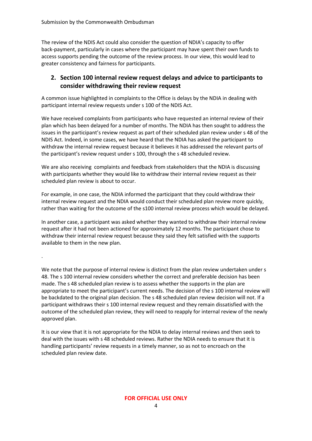The review of the NDIS Act could also consider the question of NDIA's capacity to offer back-payment, particularly in cases where the participant may have spent their own funds to access supports pending the outcome of the review process. In our view, this would lead to greater consistency and fairness for participants.

### **2. Section 100 internal review request delays and advice to participants to consider withdrawing their review request**

A common issue highlighted in complaints to the Office is delays by the NDIA in dealing with participant internal review requests under s 100 of the NDIS Act.

We have received complaints from participants who have requested an internal review of their plan which has been delayed for a number of months. The NDIA has then sought to address the issues in the participant's review request as part of their scheduled plan review under s 48 of the NDIS Act. Indeed, in some cases, we have heard that the NDIA has asked the participant to withdraw the internal review request because it believes it has addressed the relevant parts of the participant's review request under s 100, through the s 48 scheduled review.

We are also receiving complaints and feedback from stakeholders that the NDIA is discussing with participants whether they would like to withdraw their internal review request as their scheduled plan review is about to occur.

For example, in one case, the NDIA informed the participant that they could withdraw their internal review request and the NDIA would conduct their scheduled plan review more quickly, rather than waiting for the outcome of the s100 internal review process which would be delayed.

In another case, a participant was asked whether they wanted to withdraw their internal review request after it had not been actioned for approximately 12 months. The participant chose to withdraw their internal review request because they said they felt satisfied with the supports available to them in the new plan.

. We note that the purpose of internal review is distinct from the plan review undertaken under s 48. The s 100 internal review considers whether the correct and preferable decision has been made. The s 48 scheduled plan review is to assess whether the supports in the plan are appropriate to meet the participant's current needs. The decision of the s 100 internal review will be backdated to the original plan decision. The s 48 scheduled plan review decision will not. If a participant withdraws their s 100 internal review request and they remain dissatisfied with the outcome of the scheduled plan review, they will need to reapply for internal review of the newly approved plan.

It is our view that it is not appropriate for the NDIA to delay internal reviews and then seek to deal with the issues with s 48 scheduled reviews. Rather the NDIA needs to ensure that it is handling participants' review requests in a timely manner, so as not to encroach on the scheduled plan review date.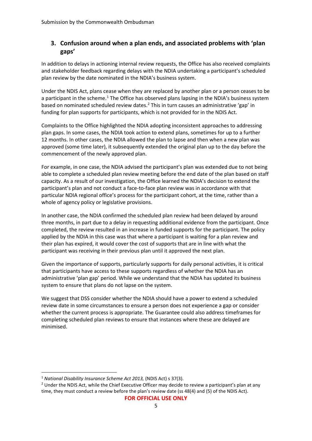## **3. Confusion around when a plan ends, and associated problems with 'plan gaps'**

In addition to delays in actioning internal review requests, the Office has also received complaints and stakeholder feedback regarding delays with the NDIA undertaking a participant's scheduled plan review by the date nominated in the NDIA's business system.

Under the NDIS Act, plans cease when they are replaced by another plan or a person ceases to be a participant in the scheme.<sup>[1](#page-4-0)</sup> The Office has observed plans lapsing in the NDIA's business system based on nominated scheduled review dates. [2](#page-4-1) This in turn causes an administrative 'gap' in funding for plan supports for participants, which is not provided for in the NDIS Act.

Complaints to the Office highlighted the NDIA adopting inconsistent approaches to addressing plan gaps. In some cases, the NDIA took action to extend plans, sometimes for up to a further 12 months. In other cases, the NDIA allowed the plan to lapse and then when a new plan was approved (some time later), it subsequently extended the original plan up to the day before the commencement of the newly approved plan.

For example, in one case, the NDIA advised the participant's plan was extended due to not being able to complete a scheduled plan review meeting before the end date of the plan based on staff capacity. As a result of our investigation, the Office learned the NDIA's decision to extend the participant's plan and not conduct a face-to-face plan review was in accordance with that particular NDIA regional office's process for the participant cohort, at the time, rather than a whole of agency policy or legislative provisions.

In another case, the NDIA confirmed the scheduled plan review had been delayed by around three months, in part due to a delay in requesting additional evidence from the participant. Once completed, the review resulted in an increase in funded supports for the participant. The policy applied by the NDIA in this case was that where a participant is waiting for a plan review and their plan has expired, it would cover the cost of supports that are in line with what the participant was receiving in their previous plan until it approved the next plan.

Given the importance of supports, particularly supports for daily personal activities, it is critical that participants have access to these supports regardless of whether the NDIA has an administrative 'plan gap' period. While we understand that the NDIA has updated its business system to ensure that plans do not lapse on the system.

We suggest that DSS consider whether the NDIA should have a power to extend a scheduled review date in some circumstances to ensure a person does not experience a gap or consider whether the current process is appropriate. The Guarantee could also address timeframes for completing scheduled plan reviews to ensure that instances where these are delayed are minimised.

**FOR OFFICIAL USE ONLY**

<span id="page-4-1"></span><span id="page-4-0"></span><sup>&</sup>lt;sup>1</sup> *National Disability Insurance Scheme Act 2013,* (NDIS Act) s 37(3).<br><sup>2</sup> Under the NDIS Act, while the Chief Executive Officer may decide to review a participant's plan at any time, they must conduct a review before the plan's review date (ss 48(4) and (5) of the NDIS Act).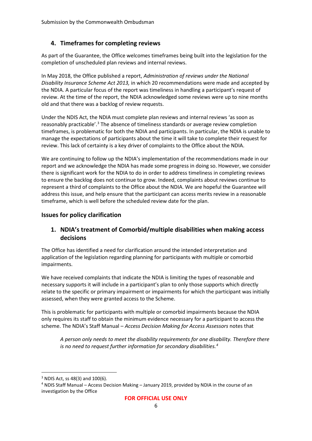#### **4. Timeframes for completing reviews**

As part of the Guarantee, the Office welcomes timeframes being built into the legislation for the completion of unscheduled plan reviews and internal reviews.

In May 2018, the Office published a report, *Administration of reviews under the National Disability Insurance Scheme Act 2013,* in which 20 recommendations were made and accepted by the NDIA. A particular focus of the report was timeliness in handling a participant's request of review. At the time of the report, the NDIA acknowledged some reviews were up to nine months old and that there was a backlog of review requests.

Under the NDIS Act, the NDIA must complete plan reviews and internal reviews 'as soon as reasonably practicable'.<sup>[3](#page-5-0)</sup> The absence of timeliness standards or average review completion timeframes, is problematic for both the NDIA and participants. In particular, the NDIA is unable to manage the expectations of participants about the time it will take to complete their request for review. This lack of certainty is a key driver of complaints to the Office about the NDIA.

We are continuing to follow up the NDIA's implementation of the recommendations made in our report and we acknowledge the NDIA has made some progress in doing so. However, we consider there is significant work for the NDIA to do in order to address timeliness in completing reviews to ensure the backlog does not continue to grow. Indeed, complaints about reviews continue to represent a third of complaints to the Office about the NDIA. We are hopeful the Guarantee will address this issue, and help ensure that the participant can access merits review in a reasonable timeframe, which is well before the scheduled review date for the plan.

#### **Issues for policy clarification**

# **1. NDIA's treatment of Comorbid/multiple disabilities when making access decisions**

The Office has identified a need for clarification around the intended interpretation and application of the legislation regarding planning for participants with multiple or comorbid impairments.

We have received complaints that indicate the NDIA is limiting the types of reasonable and necessary supports it will include in a participant's plan to only those supports which directly relate to the specific or primary impairment or impairments for which the participant was initially assessed, when they were granted access to the Scheme.

This is problematic for participants with multiple or comorbid impairments because the NDIA only requires its staff to obtain the minimum evidence necessary for a participant to access the scheme. The NDIA's Staff Manual – *Access Decision Making for Access Assessors* notes that

*A person only needs to meet the disability requirements for one disability. Therefore there is no need to request further information for secondary disabilities.[4](#page-5-1)*

<span id="page-5-1"></span><span id="page-5-0"></span><sup>&</sup>lt;sup>3</sup> NDIS Act, ss 48(3) and 100(6).<br><sup>4</sup> NDIS Staff Manual – Access Decision Making – January 2019, provided by NDIA in the course of an investigation by the Office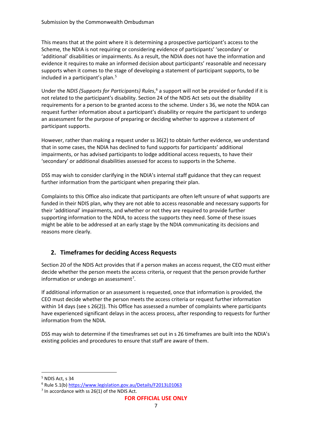This means that at the point where it is determining a prospective participant's access to the Scheme, the NDIA is not requiring or considering evidence of participants' 'secondary' or 'additional' disabilities or impairments. As a result, the NDIA does not have the information and evidence it requires to make an informed decision about participants' reasonable and necessary supports when it comes to the stage of developing a statement of participant supports, to be included in a participant's plan.<sup>[5](#page-6-0)</sup>

Under the *NDIS (Supports for Participants) Rules*, [6](#page-6-1) a support will not be provided or funded if it is not related to the participant's disability. Section 24 of the NDIS Act sets out the disability requirements for a person to be granted access to the scheme. Under s 36, we note the NDIA can request further information about a participant's disability or require the participant to undergo an assessment for the purpose of preparing or deciding whether to approve a statement of participant supports.

However, rather than making a request under ss 36(2) to obtain further evidence, we understand that in some cases, the NDIA has declined to fund supports for participants' additional impairments, or has advised participants to lodge additional access requests, to have their 'secondary' or additional disabilities assessed for access to supports in the Scheme.

DSS may wish to consider clarifying in the NDIA's internal staff guidance that they can request further information from the participant when preparing their plan.

Complaints to this Office also indicate that participants are often left unsure of what supports are funded in their NDIS plan, why they are not able to access reasonable and necessary supports for their 'additional' impairments, and whether or not they are required to provide further supporting information to the NDIA, to access the supports they need. Some of these issues might be able to be addressed at an early stage by the NDIA communicating its decisions and reasons more clearly.

# **2. Timeframes for deciding Access Requests**

Section 20 of the NDIS Act provides that if a person makes an access request, the CEO must either decide whether the person meets the access criteria, or request that the person provide further information or undergo an assessment<sup>[7](#page-6-2)</sup>.

If additional information or an assessment is requested, once that information is provided, the CEO must decide whether the person meets the access criteria or request further information within 14 days (see s 26(2)). This Office has assessed a number of complaints where participants have experienced significant delays in the access process, after responding to requests for further information from the NDIA.

DSS may wish to determine if the timesframes set out in s 26 timeframes are built into the NDIA's existing policies and procedures to ensure that staff are aware of them.

<span id="page-6-0"></span> <sup>5</sup> NDIS Act, s 34

<span id="page-6-1"></span><sup>6</sup> Rule 5.1(b)<https://www.legislation.gov.au/Details/F2013L01063>

<span id="page-6-2"></span> $7$  In accordance with ss 26(1) of the NDIS Act.